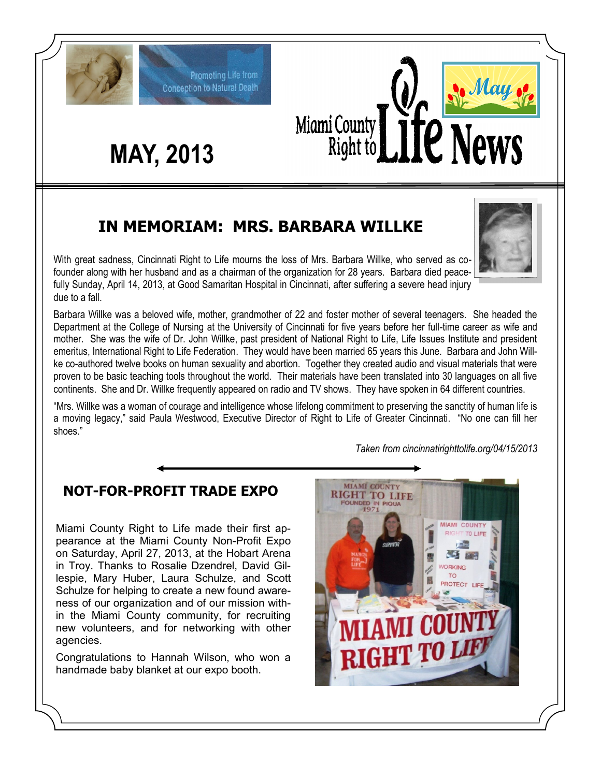

### **IN MEMORIAM: MRS. BARBARA WILLKE**

With great sadness, Cincinnati Right to Life mourns the loss of Mrs. Barbara Willke, who served as cofounder along with her husband and as a chairman of the organization for 28 years. Barbara died peacefully Sunday, April 14, 2013, at Good Samaritan Hospital in Cincinnati, after suffering a severe head injury due to a fall.

Barbara Willke was a beloved wife, mother, grandmother of 22 and foster mother of several teenagers. She headed the Department at the College of Nursing at the University of Cincinnati for five years before her full-time career as wife and mother. She was the wife of Dr. John Willke, past president of National Right to Life, Life Issues Institute and president emeritus, International Right to Life Federation. They would have been married 65 years this June. Barbara and John Willke co-authored twelve books on human sexuality and abortion. Together they created audio and visual materials that were proven to be basic teaching tools throughout the world. Their materials have been translated into 30 languages on all five continents. She and Dr. Willke frequently appeared on radio and TV shows. They have spoken in 64 different countries.

"Mrs. Willke was a woman of courage and intelligence whose lifelong commitment to preserving the sanctity of human life is a moving legacy," said Paula Westwood, Executive Director of Right to Life of Greater Cincinnati. "No one can fill her shoes."

*Taken from cincinnatirighttolife.org/04/15/2013*

#### **NOT-FOR-PROFIT TRADE EXPO**

Miami County Right to Life made their first appearance at the Miami County Non-Profit Expo on Saturday, April 27, 2013, at the Hobart Arena in Troy. Thanks to Rosalie Dzendrel, David Gillespie, Mary Huber, Laura Schulze, and Scott Schulze for helping to create a new found awareness of our organization and of our mission within the Miami County community, for recruiting new volunteers, and for networking with other agencies.

Congratulations to Hannah Wilson, who won a handmade baby blanket at our expo booth.



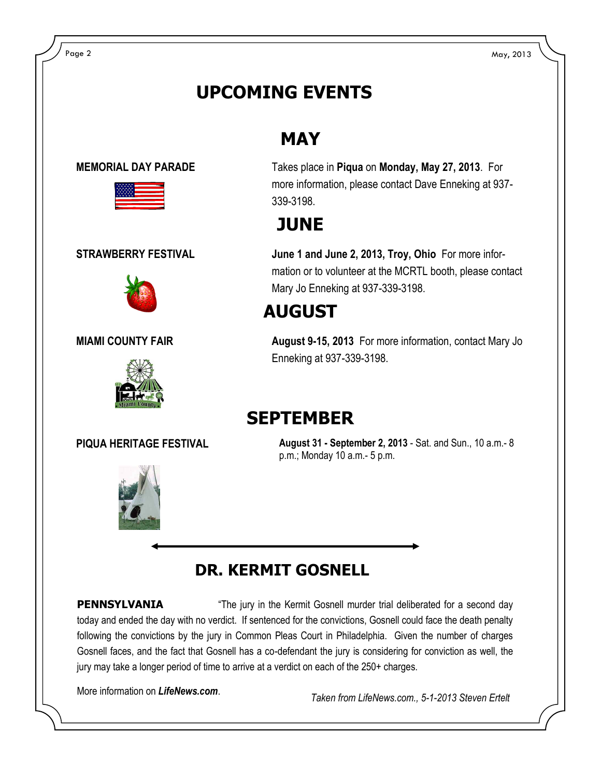## **UPCOMING EVENTS**

#### **MAY**









**MEMORIAL DAY PARADE** Takes place in **Piqua** on **Monday, May 27, 2013**. For more information, please contact Dave Enneking at 937- 339-3198.

### **JUNE**

**STRAWBERRY FESTIVAL June 1 and June 2, 2013, Troy, Ohio** For more information or to volunteer at the MCRTL booth, please contact Mary Jo Enneking at 937-339-3198.

# **AUGUST**

**MIAMI COUNTY FAIR August 9-15, 2013** For more information, contact Mary Jo Enneking at 937-339-3198.

#### **SEPTEMBER**

**PIQUA HERITAGE FESTIVAL August 31 - September 2, 2013** - Sat. and Sun., 10 a.m.- 8 p.m.; Monday 10 a.m.- 5 p.m.

## **DR. KERMIT GOSNELL**

**PENNSYLVANIA** "The jury in the Kermit Gosnell murder trial deliberated for a second day today and ended the day with no verdict. If sentenced for the convictions, Gosnell could face the death penalty following the convictions by the jury in Common Pleas Court in Philadelphia. Given the number of charges Gosnell faces, and the fact that Gosnell has a co-defendant the jury is considering for conviction as well, the jury may take a longer period of time to arrive at a verdict on each of the 250+ charges.

More information on *LifeNews.com*.

*Taken from LifeNews.com., 5-1-2013 Steven Ertelt*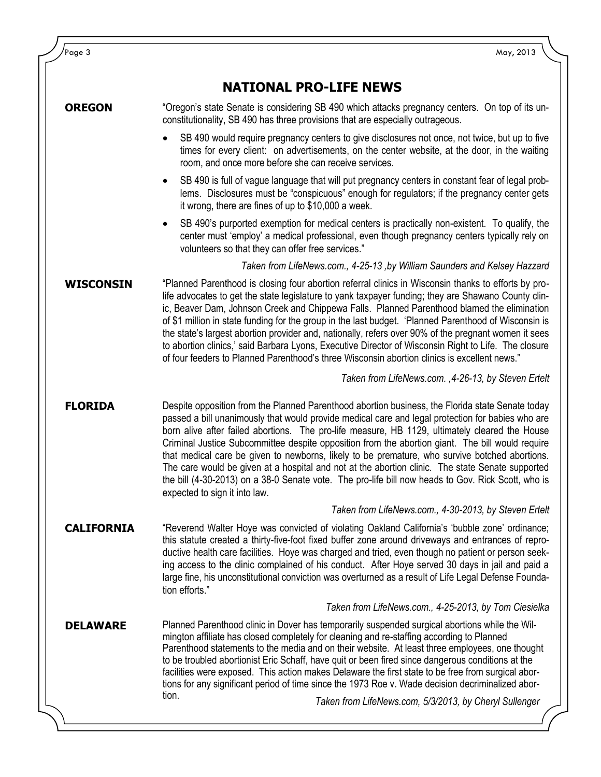| Page 3            | May, 2013                                                                                                                                                                                                                                                                                                                                                                                                                                                                                                                                                                                                                                                                                                                                                |
|-------------------|----------------------------------------------------------------------------------------------------------------------------------------------------------------------------------------------------------------------------------------------------------------------------------------------------------------------------------------------------------------------------------------------------------------------------------------------------------------------------------------------------------------------------------------------------------------------------------------------------------------------------------------------------------------------------------------------------------------------------------------------------------|
|                   | <b>NATIONAL PRO-LIFE NEWS</b>                                                                                                                                                                                                                                                                                                                                                                                                                                                                                                                                                                                                                                                                                                                            |
| <b>OREGON</b>     | "Oregon's state Senate is considering SB 490 which attacks pregnancy centers. On top of its un-<br>constitutionality, SB 490 has three provisions that are especially outrageous.                                                                                                                                                                                                                                                                                                                                                                                                                                                                                                                                                                        |
|                   | SB 490 would require pregnancy centers to give disclosures not once, not twice, but up to five<br>times for every client: on advertisements, on the center website, at the door, in the waiting<br>room, and once more before she can receive services.                                                                                                                                                                                                                                                                                                                                                                                                                                                                                                  |
|                   | SB 490 is full of vague language that will put pregnancy centers in constant fear of legal prob-<br>$\bullet$<br>lems. Disclosures must be "conspicuous" enough for regulators; if the pregnancy center gets<br>it wrong, there are fines of up to \$10,000 a week.                                                                                                                                                                                                                                                                                                                                                                                                                                                                                      |
|                   | SB 490's purported exemption for medical centers is practically non-existent. To qualify, the<br>center must 'employ' a medical professional, even though pregnancy centers typically rely on<br>volunteers so that they can offer free services."                                                                                                                                                                                                                                                                                                                                                                                                                                                                                                       |
|                   | Taken from LifeNews.com., 4-25-13, by William Saunders and Kelsey Hazzard                                                                                                                                                                                                                                                                                                                                                                                                                                                                                                                                                                                                                                                                                |
| <b>WISCONSIN</b>  | "Planned Parenthood is closing four abortion referral clinics in Wisconsin thanks to efforts by pro-<br>life advocates to get the state legislature to yank taxpayer funding; they are Shawano County clin-<br>ic, Beaver Dam, Johnson Creek and Chippewa Falls. Planned Parenthood blamed the elimination<br>of \$1 million in state funding for the group in the last budget. 'Planned Parenthood of Wisconsin is<br>the state's largest abortion provider and, nationally, refers over 90% of the pregnant women it sees<br>to abortion clinics,' said Barbara Lyons, Executive Director of Wisconsin Right to Life. The closure<br>of four feeders to Planned Parenthood's three Wisconsin abortion clinics is excellent news."                      |
|                   | Taken from LifeNews.com., 4-26-13, by Steven Ertelt                                                                                                                                                                                                                                                                                                                                                                                                                                                                                                                                                                                                                                                                                                      |
| <b>FLORIDA</b>    | Despite opposition from the Planned Parenthood abortion business, the Florida state Senate today<br>passed a bill unanimously that would provide medical care and legal protection for babies who are<br>born alive after failed abortions. The pro-life measure, HB 1129, ultimately cleared the House<br>Criminal Justice Subcommittee despite opposition from the abortion giant. The bill would require<br>that medical care be given to newborns, likely to be premature, who survive botched abortions.<br>The care would be given at a hospital and not at the abortion clinic. The state Senate supported<br>the bill (4-30-2013) on a 38-0 Senate vote. The pro-life bill now heads to Gov. Rick Scott, who is<br>expected to sign it into law. |
|                   | Taken from LifeNews.com., 4-30-2013, by Steven Ertelt                                                                                                                                                                                                                                                                                                                                                                                                                                                                                                                                                                                                                                                                                                    |
| <b>CALIFORNIA</b> | "Reverend Walter Hoye was convicted of violating Oakland California's 'bubble zone' ordinance;<br>this statute created a thirty-five-foot fixed buffer zone around driveways and entrances of repro-<br>ductive health care facilities. Hoye was charged and tried, even though no patient or person seek-<br>ing access to the clinic complained of his conduct. After Hoye served 30 days in jail and paid a<br>large fine, his unconstitutional conviction was overturned as a result of Life Legal Defense Founda-<br>tion efforts."                                                                                                                                                                                                                 |
|                   | Taken from LifeNews.com., 4-25-2013, by Tom Ciesielka                                                                                                                                                                                                                                                                                                                                                                                                                                                                                                                                                                                                                                                                                                    |
| <b>DELAWARE</b>   | Planned Parenthood clinic in Dover has temporarily suspended surgical abortions while the Wil-<br>mington affiliate has closed completely for cleaning and re-staffing according to Planned<br>Parenthood statements to the media and on their website. At least three employees, one thought<br>to be troubled abortionist Eric Schaff, have quit or been fired since dangerous conditions at the<br>facilities were exposed. This action makes Delaware the first state to be free from surgical abor-<br>tions for any significant period of time since the 1973 Roe v. Wade decision decriminalized abor-                                                                                                                                            |
|                   | tion.<br>Taken from LifeNews.com, 5/3/2013, by Cheryl Sullenger                                                                                                                                                                                                                                                                                                                                                                                                                                                                                                                                                                                                                                                                                          |
|                   |                                                                                                                                                                                                                                                                                                                                                                                                                                                                                                                                                                                                                                                                                                                                                          |